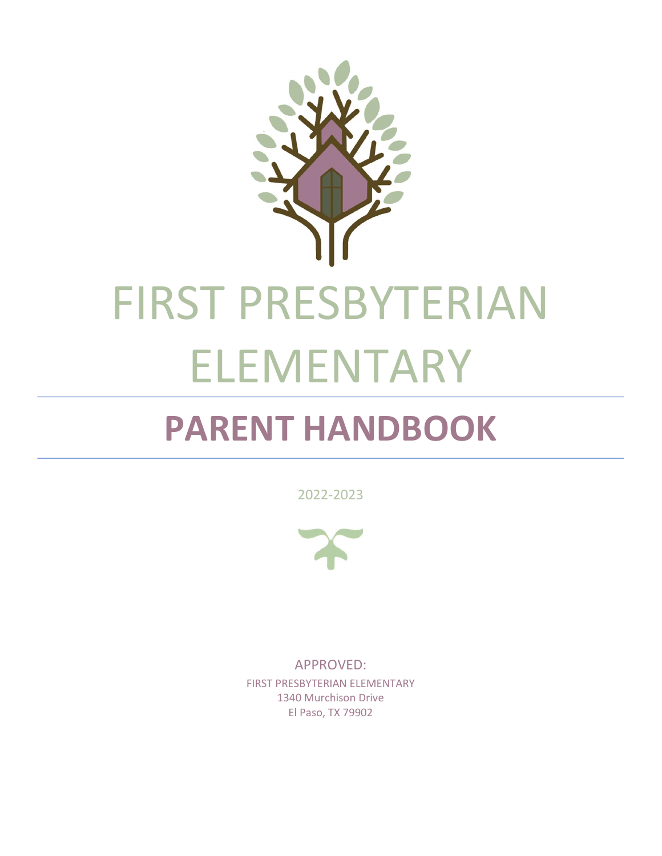

# PARENT HANDBOOK

2022-2023



APPROVED: FIRST PRESBYTERIAN ELEMENTARY 1340 Murchison Drive El Paso, TX 79902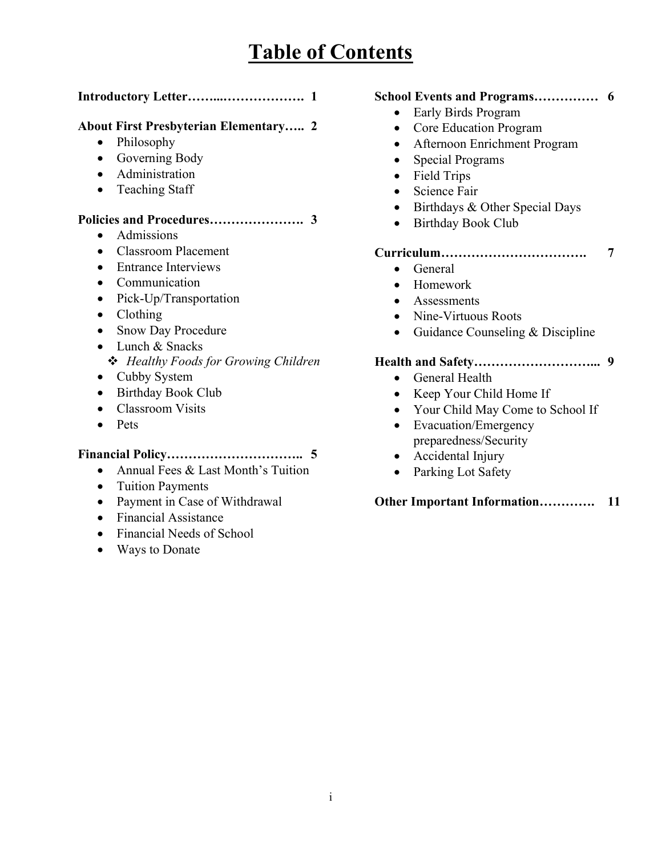# Table of Contents

# Introductory Letter……...………………. 1

# About First Presbyterian Elementary….. 2

- Philosophy
- Governing Body
- Administration
- Teaching Staff

# Policies and Procedures…………………. 3

- Admissions
- Classroom Placement
- Entrance Interviews
- Communication
- Pick-Up/Transportation
- Clothing
- Snow Day Procedure
- Lunch & Snacks
- **❖** Healthy Foods for Growing Children
- Cubby System
- Birthday Book Club
- Classroom Visits
- Pets

# Financial Policy………………………….. 5

- Annual Fees & Last Month's Tuition
- Tuition Payments
- Payment in Case of Withdrawal
- Financial Assistance
- Financial Needs of School
- Ways to Donate

#### School Events and Programs…………… 6

- Early Birds Program
- Core Education Program
- Afternoon Enrichment Program
- Special Programs
- Field Trips
- Science Fair
- Birthdays & Other Special Days
- Birthday Book Club

#### Curriculum……………………………. 7

- General
- Homework
- Assessments
- Nine-Virtuous Roots
- Guidance Counseling & Discipline

#### Health and Safety………………………... 9

- General Health
- Keep Your Child Home If
- Your Child May Come to School If
- Evacuation/Emergency preparedness/Security
- Accidental Injury
- Parking Lot Safety

Other Important Information…………. 11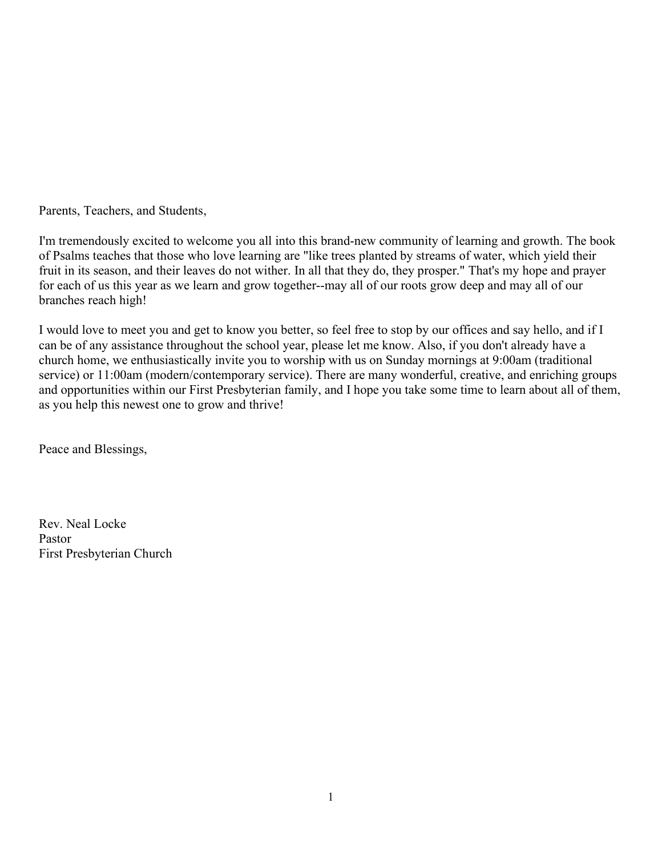Parents, Teachers, and Students,

I'm tremendously excited to welcome you all into this brand-new community of learning and growth. The book of Psalms teaches that those who love learning are "like trees planted by streams of water, which yield their fruit in its season, and their leaves do not wither. In all that they do, they prosper." That's my hope and prayer for each of us this year as we learn and grow together--may all of our roots grow deep and may all of our branches reach high!

I would love to meet you and get to know you better, so feel free to stop by our offices and say hello, and if I can be of any assistance throughout the school year, please let me know. Also, if you don't already have a church home, we enthusiastically invite you to worship with us on Sunday mornings at 9:00am (traditional service) or 11:00am (modern/contemporary service). There are many wonderful, creative, and enriching groups and opportunities within our First Presbyterian family, and I hope you take some time to learn about all of them, as you help this newest one to grow and thrive!

Peace and Blessings,

Rev. Neal Locke Pastor First Presbyterian Church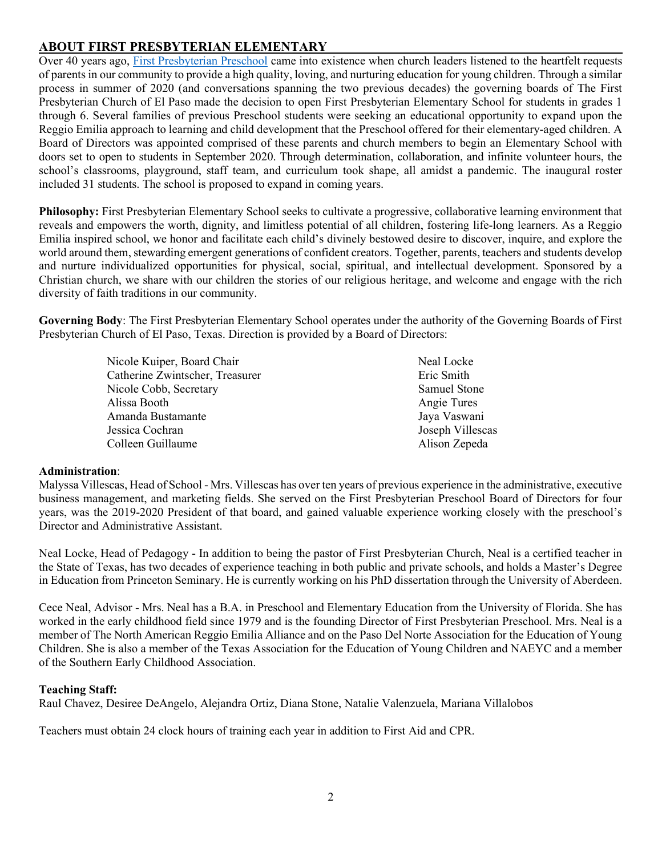# ABOUT FIRST PRESBYTERIAN ELEMENTARY

Over 40 years ago, First Presbyterian Preschool came into existence when church leaders listened to the heartfelt requests of parents in our community to provide a high quality, loving, and nurturing education for young children. Through a similar process in summer of 2020 (and conversations spanning the two previous decades) the governing boards of The First Presbyterian Church of El Paso made the decision to open First Presbyterian Elementary School for students in grades 1 through 6. Several families of previous Preschool students were seeking an educational opportunity to expand upon the Reggio Emilia approach to learning and child development that the Preschool offered for their elementary-aged children. A Board of Directors was appointed comprised of these parents and church members to begin an Elementary School with doors set to open to students in September 2020. Through determination, collaboration, and infinite volunteer hours, the school's classrooms, playground, staff team, and curriculum took shape, all amidst a pandemic. The inaugural roster included 31 students. The school is proposed to expand in coming years.

Philosophy: First Presbyterian Elementary School seeks to cultivate a progressive, collaborative learning environment that reveals and empowers the worth, dignity, and limitless potential of all children, fostering life-long learners. As a Reggio Emilia inspired school, we honor and facilitate each child's divinely bestowed desire to discover, inquire, and explore the world around them, stewarding emergent generations of confident creators. Together, parents, teachers and students develop and nurture individualized opportunities for physical, social, spiritual, and intellectual development. Sponsored by a Christian church, we share with our children the stories of our religious heritage, and welcome and engage with the rich diversity of faith traditions in our community.

Governing Body: The First Presbyterian Elementary School operates under the authority of the Governing Boards of First Presbyterian Church of El Paso, Texas. Direction is provided by a Board of Directors:

> Nicole Kuiper, Board Chair Catherine Zwintscher, Treasurer Nicole Cobb, Secretary Alissa Booth Amanda Bustamante Jessica Cochran Colleen Guillaume

Neal Locke Eric Smith Samuel Stone Angie Tures Jaya Vaswani Joseph Villescas Alison Zepeda

#### Administration:

Malyssa Villescas, Head of School - Mrs. Villescas has over ten years of previous experience in the administrative, executive business management, and marketing fields. She served on the First Presbyterian Preschool Board of Directors for four years, was the 2019-2020 President of that board, and gained valuable experience working closely with the preschool's Director and Administrative Assistant.

Neal Locke, Head of Pedagogy - In addition to being the pastor of First Presbyterian Church, Neal is a certified teacher in the State of Texas, has two decades of experience teaching in both public and private schools, and holds a Master's Degree in Education from Princeton Seminary. He is currently working on his PhD dissertation through the University of Aberdeen.

Cece Neal, Advisor - Mrs. Neal has a B.A. in Preschool and Elementary Education from the University of Florida. She has worked in the early childhood field since 1979 and is the founding Director of First Presbyterian Preschool. Mrs. Neal is a member of The North American Reggio Emilia Alliance and on the Paso Del Norte Association for the Education of Young Children. She is also a member of the Texas Association for the Education of Young Children and NAEYC and a member of the Southern Early Childhood Association.

#### Teaching Staff:

Raul Chavez, Desiree DeAngelo, Alejandra Ortiz, Diana Stone, Natalie Valenzuela, Mariana Villalobos

Teachers must obtain 24 clock hours of training each year in addition to First Aid and CPR.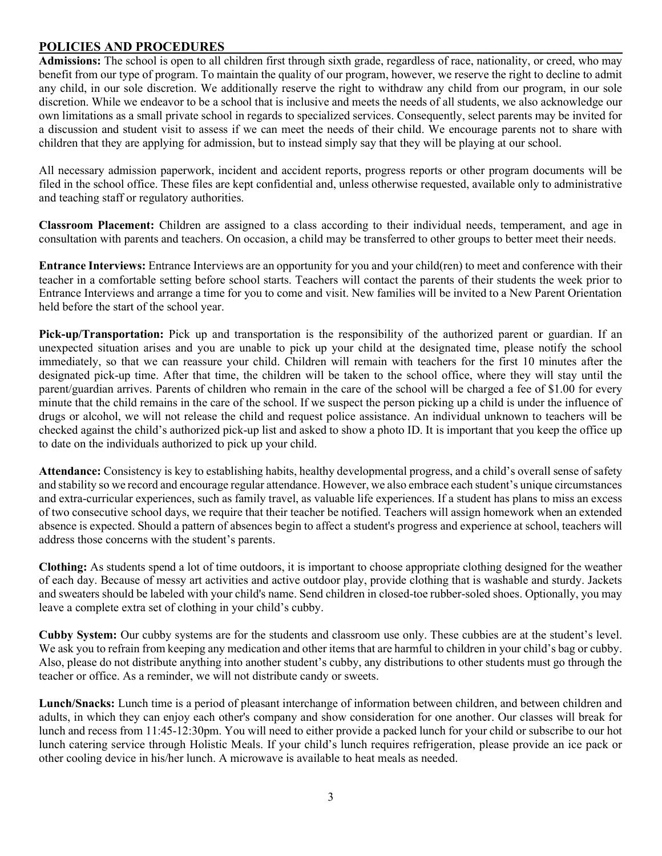#### POLICIES AND PROCEDURES

Admissions: The school is open to all children first through sixth grade, regardless of race, nationality, or creed, who may benefit from our type of program. To maintain the quality of our program, however, we reserve the right to decline to admit any child, in our sole discretion. We additionally reserve the right to withdraw any child from our program, in our sole discretion. While we endeavor to be a school that is inclusive and meets the needs of all students, we also acknowledge our own limitations as a small private school in regards to specialized services. Consequently, select parents may be invited for a discussion and student visit to assess if we can meet the needs of their child. We encourage parents not to share with children that they are applying for admission, but to instead simply say that they will be playing at our school.

All necessary admission paperwork, incident and accident reports, progress reports or other program documents will be filed in the school office. These files are kept confidential and, unless otherwise requested, available only to administrative and teaching staff or regulatory authorities.

Classroom Placement: Children are assigned to a class according to their individual needs, temperament, and age in consultation with parents and teachers. On occasion, a child may be transferred to other groups to better meet their needs.

Entrance Interviews: Entrance Interviews are an opportunity for you and your child(ren) to meet and conference with their teacher in a comfortable setting before school starts. Teachers will contact the parents of their students the week prior to Entrance Interviews and arrange a time for you to come and visit. New families will be invited to a New Parent Orientation held before the start of the school year.

Pick-up/Transportation: Pick up and transportation is the responsibility of the authorized parent or guardian. If an unexpected situation arises and you are unable to pick up your child at the designated time, please notify the school immediately, so that we can reassure your child. Children will remain with teachers for the first 10 minutes after the designated pick-up time. After that time, the children will be taken to the school office, where they will stay until the parent/guardian arrives. Parents of children who remain in the care of the school will be charged a fee of \$1.00 for every minute that the child remains in the care of the school. If we suspect the person picking up a child is under the influence of drugs or alcohol, we will not release the child and request police assistance. An individual unknown to teachers will be checked against the child's authorized pick-up list and asked to show a photo ID. It is important that you keep the office up to date on the individuals authorized to pick up your child.

Attendance: Consistency is key to establishing habits, healthy developmental progress, and a child's overall sense of safety and stability so we record and encourage regular attendance. However, we also embrace each student's unique circumstances and extra-curricular experiences, such as family travel, as valuable life experiences. If a student has plans to miss an excess of two consecutive school days, we require that their teacher be notified. Teachers will assign homework when an extended absence is expected. Should a pattern of absences begin to affect a student's progress and experience at school, teachers will address those concerns with the student's parents.

Clothing: As students spend a lot of time outdoors, it is important to choose appropriate clothing designed for the weather of each day. Because of messy art activities and active outdoor play, provide clothing that is washable and sturdy. Jackets and sweaters should be labeled with your child's name. Send children in closed-toe rubber-soled shoes. Optionally, you may leave a complete extra set of clothing in your child's cubby.

Cubby System: Our cubby systems are for the students and classroom use only. These cubbies are at the student's level. We ask you to refrain from keeping any medication and other items that are harmful to children in your child's bag or cubby. Also, please do not distribute anything into another student's cubby, any distributions to other students must go through the teacher or office. As a reminder, we will not distribute candy or sweets.

Lunch/Snacks: Lunch time is a period of pleasant interchange of information between children, and between children and adults, in which they can enjoy each other's company and show consideration for one another. Our classes will break for lunch and recess from 11:45-12:30pm. You will need to either provide a packed lunch for your child or subscribe to our hot lunch catering service through Holistic Meals. If your child's lunch requires refrigeration, please provide an ice pack or other cooling device in his/her lunch. A microwave is available to heat meals as needed.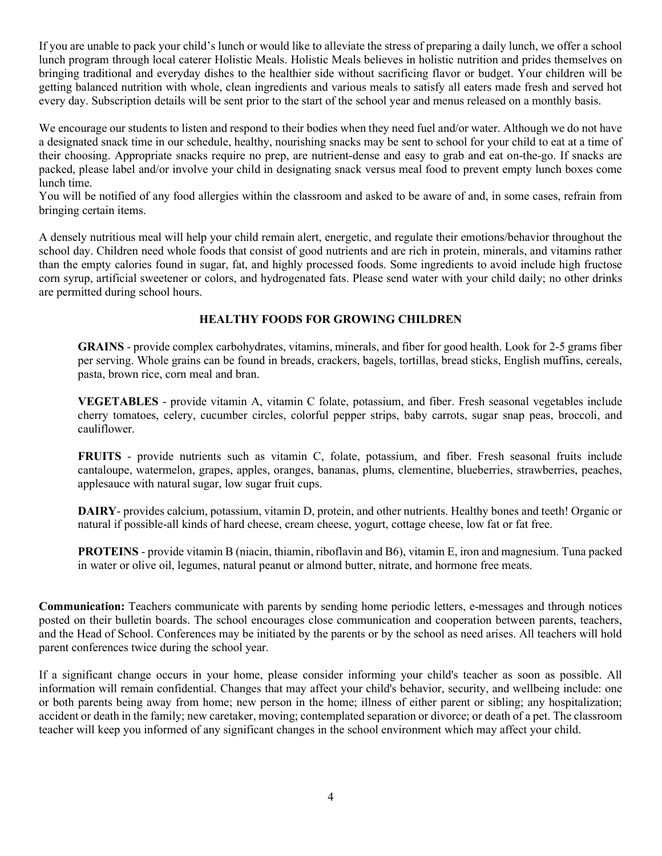If you are unable to pack your child's lunch or would like to alleviate the stress of preparing a daily lunch, we offer a school lunch program through local caterer Holistic Meals. Holistic Meals believes in holistic nutrition and prides themselves on bringing traditional and everyday dishes to the healthier side without sacrificing flavor or budget. Your children will be getting balanced nutrition with whole, clean ingredients and various meals to satisfy all eaters made fresh and served hot every day. Subscription details will be sent prior to the start of the school year and menus released on a monthly basis.

We encourage our students to listen and respond to their bodies when they need fuel and/or water. Although we do not have a designated snack time in our schedule, healthy, nourishing snacks may be sent to school for your child to eat at a time of their choosing. Appropriate snacks require no prep, are nutrient-dense and easy to grab and eat on-the-go. If snacks are packed, please label and/or involve your child in designating snack versus meal food to prevent empty lunch boxes come lunch time.

You will be notified of any food allergies within the classroom and asked to be aware of and, in some cases, refrain from bringing certain items.

A densely nutritious meal will help your child remain alert, energetic, and regulate their emotions/behavior throughout the school day. Children need whole foods that consist of good nutrients and are rich in protein, minerals, and vitamins rather than the empty calories found in sugar, fat, and highly processed foods. Some ingredients to avoid include high fructose corn syrup, artificial sweetener or colors, and hydrogenated fats. Please send water with your child daily; no other drinks are permitted during school hours.

#### HEALTHY FOODS FOR GROWING CHILDREN

GRAINS - provide complex carbohydrates, vitamins, minerals, and fiber for good health. Look for 2-5 grams fiber per serving. Whole grains can be found in breads, crackers, bagels, tortillas, bread sticks, English muffins, cereals, pasta, brown rice, corn meal and bran.

VEGETABLES - provide vitamin A, vitamin C folate, potassium, and fiber. Fresh seasonal vegetables include cherry tomatoes, celery, cucumber circles, colorful pepper strips, baby carrots, sugar snap peas, broccoli, and cauliflower.

FRUITS - provide nutrients such as vitamin C, folate, potassium, and fiber. Fresh seasonal fruits include cantaloupe, watermelon, grapes, apples, oranges, bananas, plums, clementine, blueberries, strawberries, peaches, applesauce with natural sugar, low sugar fruit cups.

DAIRY- provides calcium, potassium, vitamin D, protein, and other nutrients. Healthy bones and teeth! Organic or natural if possible-all kinds of hard cheese, cream cheese, yogurt, cottage cheese, low fat or fat free.

PROTEINS - provide vitamin B (niacin, thiamin, riboflavin and B6), vitamin E, iron and magnesium. Tuna packed in water or olive oil, legumes, natural peanut or almond butter, nitrate, and hormone free meats.

Communication: Teachers communicate with parents by sending home periodic letters, e-messages and through notices posted on their bulletin boards. The school encourages close communication and cooperation between parents, teachers, and the Head of School. Conferences may be initiated by the parents or by the school as need arises. All teachers will hold parent conferences twice during the school year.

If a significant change occurs in your home, please consider informing your child's teacher as soon as possible. All information will remain confidential. Changes that may affect your child's behavior, security, and wellbeing include: one or both parents being away from home; new person in the home; illness of either parent or sibling; any hospitalization; accident or death in the family; new caretaker, moving; contemplated separation or divorce; or death of a pet. The classroom teacher will keep you informed of any significant changes in the school environment which may affect your child.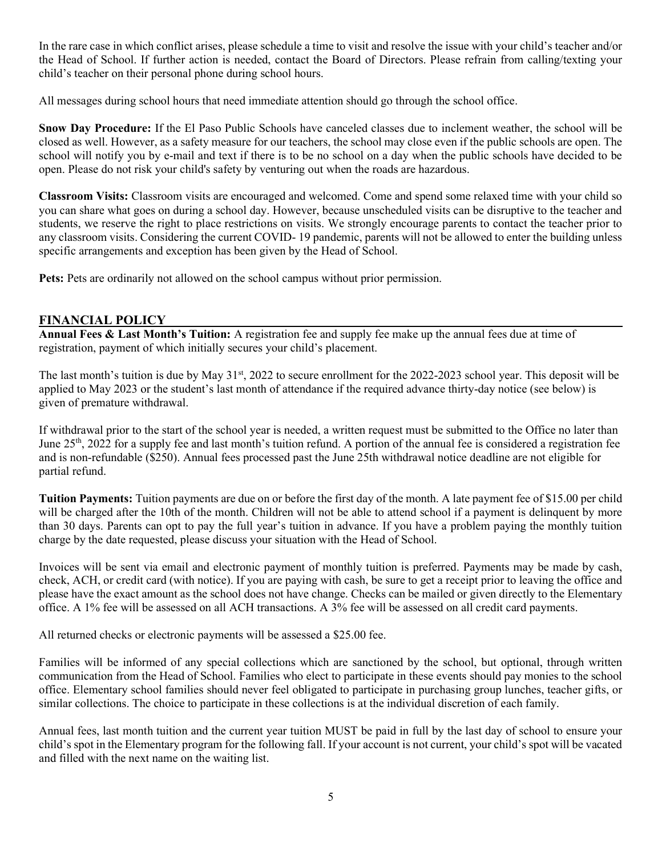In the rare case in which conflict arises, please schedule a time to visit and resolve the issue with your child's teacher and/or the Head of School. If further action is needed, contact the Board of Directors. Please refrain from calling/texting your child's teacher on their personal phone during school hours.

All messages during school hours that need immediate attention should go through the school office.

Snow Day Procedure: If the El Paso Public Schools have canceled classes due to inclement weather, the school will be closed as well. However, as a safety measure for our teachers, the school may close even if the public schools are open. The school will notify you by e-mail and text if there is to be no school on a day when the public schools have decided to be open. Please do not risk your child's safety by venturing out when the roads are hazardous.

Classroom Visits: Classroom visits are encouraged and welcomed. Come and spend some relaxed time with your child so you can share what goes on during a school day. However, because unscheduled visits can be disruptive to the teacher and students, we reserve the right to place restrictions on visits. We strongly encourage parents to contact the teacher prior to any classroom visits. Considering the current COVID- 19 pandemic, parents will not be allowed to enter the building unless specific arrangements and exception has been given by the Head of School.

Pets: Pets are ordinarily not allowed on the school campus without prior permission.

#### FINANCIAL POLICY

Annual Fees & Last Month's Tuition: A registration fee and supply fee make up the annual fees due at time of registration, payment of which initially secures your child's placement.

The last month's tuition is due by May  $31<sup>st</sup>$ , 2022 to secure enrollment for the 2022-2023 school year. This deposit will be applied to May 2023 or the student's last month of attendance if the required advance thirty-day notice (see below) is given of premature withdrawal.

If withdrawal prior to the start of the school year is needed, a written request must be submitted to the Office no later than June 25th, 2022 for a supply fee and last month's tuition refund. A portion of the annual fee is considered a registration fee and is non-refundable (\$250). Annual fees processed past the June 25th withdrawal notice deadline are not eligible for partial refund.

Tuition Payments: Tuition payments are due on or before the first day of the month. A late payment fee of \$15.00 per child will be charged after the 10th of the month. Children will not be able to attend school if a payment is delinquent by more than 30 days. Parents can opt to pay the full year's tuition in advance. If you have a problem paying the monthly tuition charge by the date requested, please discuss your situation with the Head of School.

Invoices will be sent via email and electronic payment of monthly tuition is preferred. Payments may be made by cash, check, ACH, or credit card (with notice). If you are paying with cash, be sure to get a receipt prior to leaving the office and please have the exact amount as the school does not have change. Checks can be mailed or given directly to the Elementary office. A 1% fee will be assessed on all ACH transactions. A 3% fee will be assessed on all credit card payments.

All returned checks or electronic payments will be assessed a \$25.00 fee.

Families will be informed of any special collections which are sanctioned by the school, but optional, through written communication from the Head of School. Families who elect to participate in these events should pay monies to the school office. Elementary school families should never feel obligated to participate in purchasing group lunches, teacher gifts, or similar collections. The choice to participate in these collections is at the individual discretion of each family.

Annual fees, last month tuition and the current year tuition MUST be paid in full by the last day of school to ensure your child's spot in the Elementary program for the following fall. If your account is not current, your child's spot will be vacated and filled with the next name on the waiting list.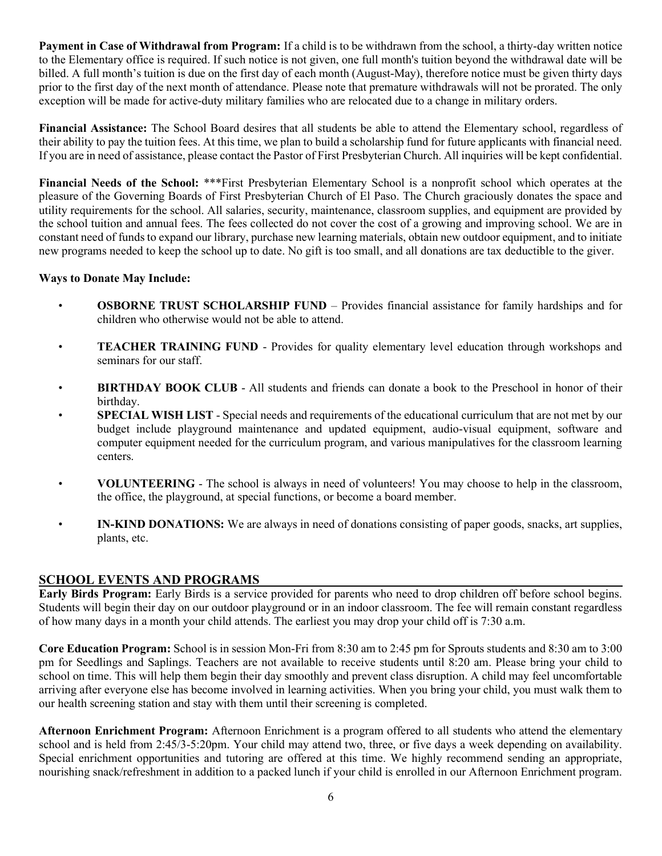Payment in Case of Withdrawal from Program: If a child is to be withdrawn from the school, a thirty-day written notice to the Elementary office is required. If such notice is not given, one full month's tuition beyond the withdrawal date will be billed. A full month's tuition is due on the first day of each month (August-May), therefore notice must be given thirty days prior to the first day of the next month of attendance. Please note that premature withdrawals will not be prorated. The only exception will be made for active-duty military families who are relocated due to a change in military orders.

Financial Assistance: The School Board desires that all students be able to attend the Elementary school, regardless of their ability to pay the tuition fees. At this time, we plan to build a scholarship fund for future applicants with financial need. If you are in need of assistance, please contact the Pastor of First Presbyterian Church. All inquiries will be kept confidential.

Financial Needs of the School: \*\*\*First Presbyterian Elementary School is a nonprofit school which operates at the pleasure of the Governing Boards of First Presbyterian Church of El Paso. The Church graciously donates the space and utility requirements for the school. All salaries, security, maintenance, classroom supplies, and equipment are provided by the school tuition and annual fees. The fees collected do not cover the cost of a growing and improving school. We are in constant need of funds to expand our library, purchase new learning materials, obtain new outdoor equipment, and to initiate new programs needed to keep the school up to date. No gift is too small, and all donations are tax deductible to the giver.

#### Ways to Donate May Include:

- OSBORNE TRUST SCHOLARSHIP FUND Provides financial assistance for family hardships and for children who otherwise would not be able to attend.
- TEACHER TRAINING FUND Provides for quality elementary level education through workshops and seminars for our staff.
- BIRTHDAY BOOK CLUB All students and friends can donate a book to the Preschool in honor of their birthday.
- **SPECIAL WISH LIST** Special needs and requirements of the educational curriculum that are not met by our budget include playground maintenance and updated equipment, audio-visual equipment, software and computer equipment needed for the curriculum program, and various manipulatives for the classroom learning centers.
- VOLUNTEERING The school is always in need of volunteers! You may choose to help in the classroom, the office, the playground, at special functions, or become a board member.
- IN-KIND DONATIONS: We are always in need of donations consisting of paper goods, snacks, art supplies, plants, etc.

#### SCHOOL EVENTS AND PROGRAMS

Early Birds Program: Early Birds is a service provided for parents who need to drop children off before school begins. Students will begin their day on our outdoor playground or in an indoor classroom. The fee will remain constant regardless of how many days in a month your child attends. The earliest you may drop your child off is 7:30 a.m.

Core Education Program: School is in session Mon-Fri from 8:30 am to 2:45 pm for Sprouts students and 8:30 am to 3:00 pm for Seedlings and Saplings. Teachers are not available to receive students until 8:20 am. Please bring your child to school on time. This will help them begin their day smoothly and prevent class disruption. A child may feel uncomfortable arriving after everyone else has become involved in learning activities. When you bring your child, you must walk them to our health screening station and stay with them until their screening is completed.

Afternoon Enrichment Program: Afternoon Enrichment is a program offered to all students who attend the elementary school and is held from 2:45/3-5:20pm. Your child may attend two, three, or five days a week depending on availability. Special enrichment opportunities and tutoring are offered at this time. We highly recommend sending an appropriate, nourishing snack/refreshment in addition to a packed lunch if your child is enrolled in our Afternoon Enrichment program.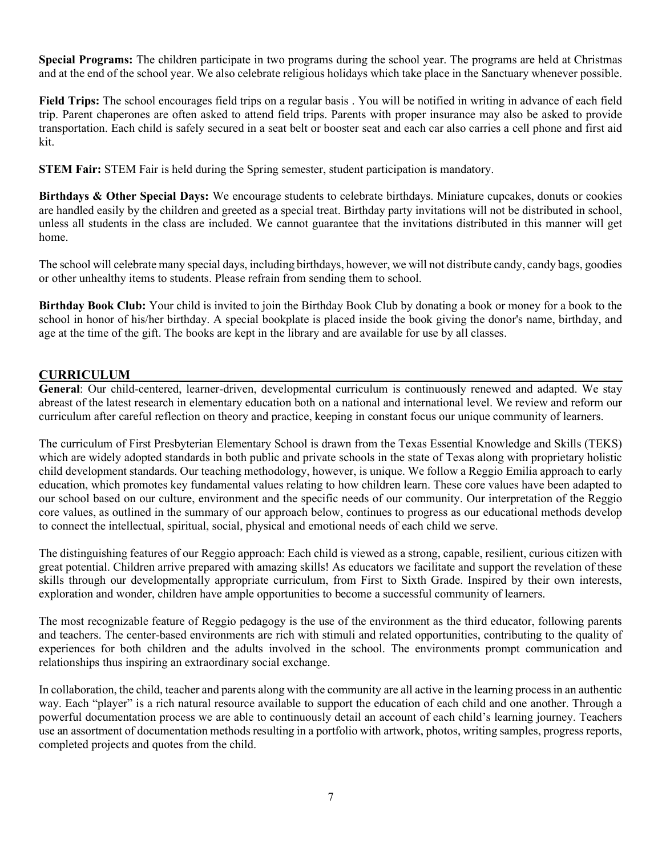Special Programs: The children participate in two programs during the school year. The programs are held at Christmas and at the end of the school year. We also celebrate religious holidays which take place in the Sanctuary whenever possible.

Field Trips: The school encourages field trips on a regular basis . You will be notified in writing in advance of each field trip. Parent chaperones are often asked to attend field trips. Parents with proper insurance may also be asked to provide transportation. Each child is safely secured in a seat belt or booster seat and each car also carries a cell phone and first aid kit.

STEM Fair: STEM Fair is held during the Spring semester, student participation is mandatory.

Birthdays & Other Special Days: We encourage students to celebrate birthdays. Miniature cupcakes, donuts or cookies are handled easily by the children and greeted as a special treat. Birthday party invitations will not be distributed in school, unless all students in the class are included. We cannot guarantee that the invitations distributed in this manner will get home.

The school will celebrate many special days, including birthdays, however, we will not distribute candy, candy bags, goodies or other unhealthy items to students. Please refrain from sending them to school.

Birthday Book Club: Your child is invited to join the Birthday Book Club by donating a book or money for a book to the school in honor of his/her birthday. A special bookplate is placed inside the book giving the donor's name, birthday, and age at the time of the gift. The books are kept in the library and are available for use by all classes.

#### CURRICULUM

General: Our child-centered, learner-driven, developmental curriculum is continuously renewed and adapted. We stay abreast of the latest research in elementary education both on a national and international level. We review and reform our curriculum after careful reflection on theory and practice, keeping in constant focus our unique community of learners.

The curriculum of First Presbyterian Elementary School is drawn from the Texas Essential Knowledge and Skills (TEKS) which are widely adopted standards in both public and private schools in the state of Texas along with proprietary holistic child development standards. Our teaching methodology, however, is unique. We follow a Reggio Emilia approach to early education, which promotes key fundamental values relating to how children learn. These core values have been adapted to our school based on our culture, environment and the specific needs of our community. Our interpretation of the Reggio core values, as outlined in the summary of our approach below, continues to progress as our educational methods develop to connect the intellectual, spiritual, social, physical and emotional needs of each child we serve.

The distinguishing features of our Reggio approach: Each child is viewed as a strong, capable, resilient, curious citizen with great potential. Children arrive prepared with amazing skills! As educators we facilitate and support the revelation of these skills through our developmentally appropriate curriculum, from First to Sixth Grade. Inspired by their own interests, exploration and wonder, children have ample opportunities to become a successful community of learners.

The most recognizable feature of Reggio pedagogy is the use of the environment as the third educator, following parents and teachers. The center-based environments are rich with stimuli and related opportunities, contributing to the quality of experiences for both children and the adults involved in the school. The environments prompt communication and relationships thus inspiring an extraordinary social exchange.

In collaboration, the child, teacher and parents along with the community are all active in the learning process in an authentic way. Each "player" is a rich natural resource available to support the education of each child and one another. Through a powerful documentation process we are able to continuously detail an account of each child's learning journey. Teachers use an assortment of documentation methods resulting in a portfolio with artwork, photos, writing samples, progress reports, completed projects and quotes from the child.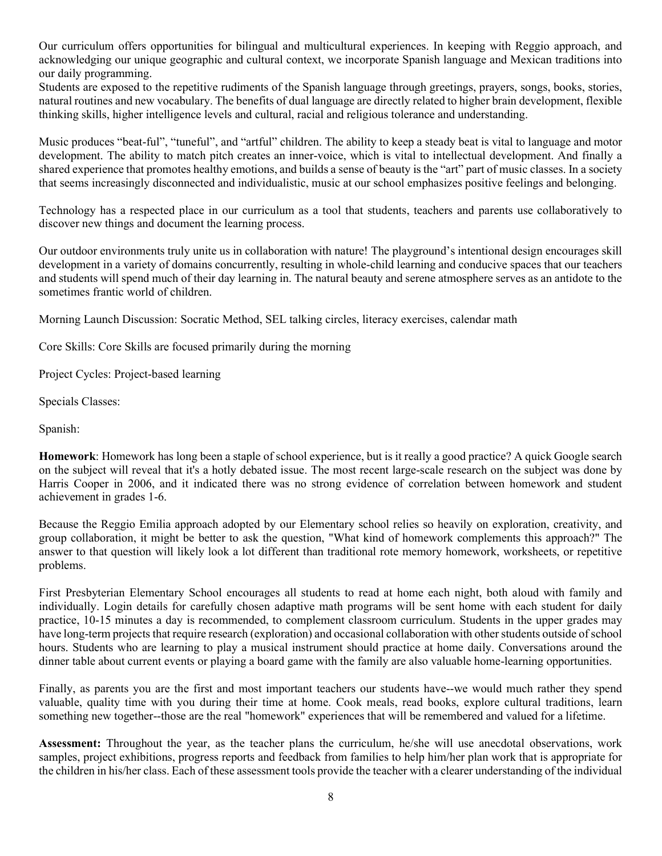Our curriculum offers opportunities for bilingual and multicultural experiences. In keeping with Reggio approach, and acknowledging our unique geographic and cultural context, we incorporate Spanish language and Mexican traditions into our daily programming.

Students are exposed to the repetitive rudiments of the Spanish language through greetings, prayers, songs, books, stories, natural routines and new vocabulary. The benefits of dual language are directly related to higher brain development, flexible thinking skills, higher intelligence levels and cultural, racial and religious tolerance and understanding.

Music produces "beat-ful", "tuneful", and "artful" children. The ability to keep a steady beat is vital to language and motor development. The ability to match pitch creates an inner-voice, which is vital to intellectual development. And finally a shared experience that promotes healthy emotions, and builds a sense of beauty is the "art" part of music classes. In a society that seems increasingly disconnected and individualistic, music at our school emphasizes positive feelings and belonging.

Technology has a respected place in our curriculum as a tool that students, teachers and parents use collaboratively to discover new things and document the learning process.

Our outdoor environments truly unite us in collaboration with nature! The playground's intentional design encourages skill development in a variety of domains concurrently, resulting in whole-child learning and conducive spaces that our teachers and students will spend much of their day learning in. The natural beauty and serene atmosphere serves as an antidote to the sometimes frantic world of children.

Morning Launch Discussion: Socratic Method, SEL talking circles, literacy exercises, calendar math

Core Skills: Core Skills are focused primarily during the morning

Project Cycles: Project-based learning

Specials Classes:

Spanish:

Homework: Homework has long been a staple of school experience, but is it really a good practice? A quick Google search on the subject will reveal that it's a hotly debated issue. The most recent large-scale research on the subject was done by Harris Cooper in 2006, and it indicated there was no strong evidence of correlation between homework and student achievement in grades 1-6.

Because the Reggio Emilia approach adopted by our Elementary school relies so heavily on exploration, creativity, and group collaboration, it might be better to ask the question, "What kind of homework complements this approach?" The answer to that question will likely look a lot different than traditional rote memory homework, worksheets, or repetitive problems.

First Presbyterian Elementary School encourages all students to read at home each night, both aloud with family and individually. Login details for carefully chosen adaptive math programs will be sent home with each student for daily practice, 10-15 minutes a day is recommended, to complement classroom curriculum. Students in the upper grades may have long-term projects that require research (exploration) and occasional collaboration with other students outside of school hours. Students who are learning to play a musical instrument should practice at home daily. Conversations around the dinner table about current events or playing a board game with the family are also valuable home-learning opportunities.

Finally, as parents you are the first and most important teachers our students have--we would much rather they spend valuable, quality time with you during their time at home. Cook meals, read books, explore cultural traditions, learn something new together--those are the real "homework" experiences that will be remembered and valued for a lifetime.

Assessment: Throughout the year, as the teacher plans the curriculum, he/she will use anecdotal observations, work samples, project exhibitions, progress reports and feedback from families to help him/her plan work that is appropriate for the children in his/her class. Each of these assessment tools provide the teacher with a clearer understanding of the individual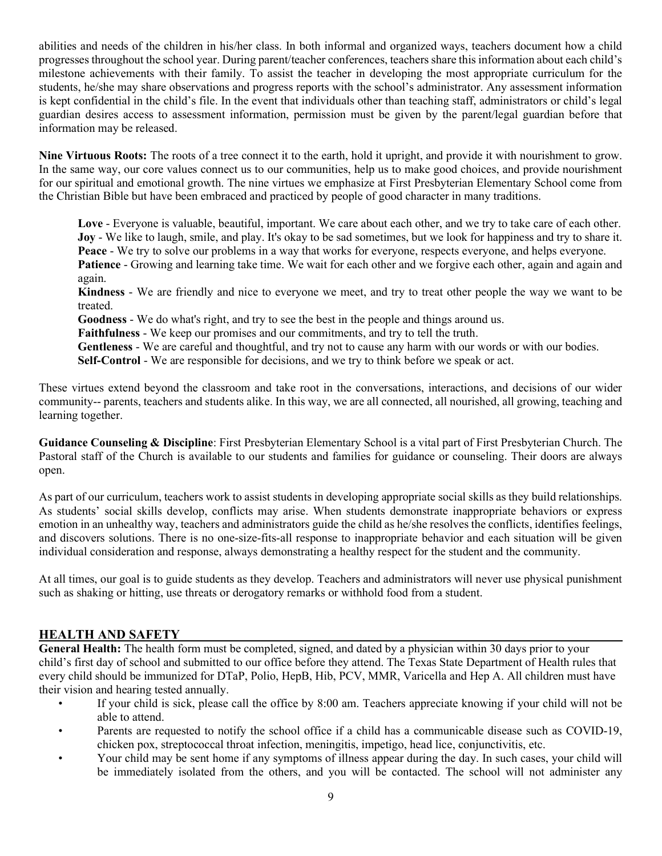abilities and needs of the children in his/her class. In both informal and organized ways, teachers document how a child progresses throughout the school year. During parent/teacher conferences, teachers share this information about each child's milestone achievements with their family. To assist the teacher in developing the most appropriate curriculum for the students, he/she may share observations and progress reports with the school's administrator. Any assessment information is kept confidential in the child's file. In the event that individuals other than teaching staff, administrators or child's legal guardian desires access to assessment information, permission must be given by the parent/legal guardian before that information may be released.

Nine Virtuous Roots: The roots of a tree connect it to the earth, hold it upright, and provide it with nourishment to grow. In the same way, our core values connect us to our communities, help us to make good choices, and provide nourishment for our spiritual and emotional growth. The nine virtues we emphasize at First Presbyterian Elementary School come from the Christian Bible but have been embraced and practiced by people of good character in many traditions.

Love - Everyone is valuable, beautiful, important. We care about each other, and we try to take care of each other. Joy - We like to laugh, smile, and play. It's okay to be sad sometimes, but we look for happiness and try to share it. Peace - We try to solve our problems in a way that works for everyone, respects everyone, and helps everyone. Patience - Growing and learning take time. We wait for each other and we forgive each other, again and again and again.

Kindness - We are friendly and nice to everyone we meet, and try to treat other people the way we want to be treated.

Goodness - We do what's right, and try to see the best in the people and things around us.

Faithfulness - We keep our promises and our commitments, and try to tell the truth.

Gentleness - We are careful and thoughtful, and try not to cause any harm with our words or with our bodies.

Self-Control - We are responsible for decisions, and we try to think before we speak or act.

These virtues extend beyond the classroom and take root in the conversations, interactions, and decisions of our wider community-- parents, teachers and students alike. In this way, we are all connected, all nourished, all growing, teaching and learning together.

Guidance Counseling & Discipline: First Presbyterian Elementary School is a vital part of First Presbyterian Church. The Pastoral staff of the Church is available to our students and families for guidance or counseling. Their doors are always open.

As part of our curriculum, teachers work to assist students in developing appropriate social skills as they build relationships. As students' social skills develop, conflicts may arise. When students demonstrate inappropriate behaviors or express emotion in an unhealthy way, teachers and administrators guide the child as he/she resolves the conflicts, identifies feelings, and discovers solutions. There is no one-size-fits-all response to inappropriate behavior and each situation will be given individual consideration and response, always demonstrating a healthy respect for the student and the community.

At all times, our goal is to guide students as they develop. Teachers and administrators will never use physical punishment such as shaking or hitting, use threats or derogatory remarks or withhold food from a student.

#### HEALTH AND SAFETY

General Health: The health form must be completed, signed, and dated by a physician within 30 days prior to your child's first day of school and submitted to our office before they attend. The Texas State Department of Health rules that every child should be immunized for DTaP, Polio, HepB, Hib, PCV, MMR, Varicella and Hep A. All children must have their vision and hearing tested annually.

- If your child is sick, please call the office by 8:00 am. Teachers appreciate knowing if your child will not be able to attend.
- Parents are requested to notify the school office if a child has a communicable disease such as COVID-19, chicken pox, streptococcal throat infection, meningitis, impetigo, head lice, conjunctivitis, etc.
- Your child may be sent home if any symptoms of illness appear during the day. In such cases, your child will be immediately isolated from the others, and you will be contacted. The school will not administer any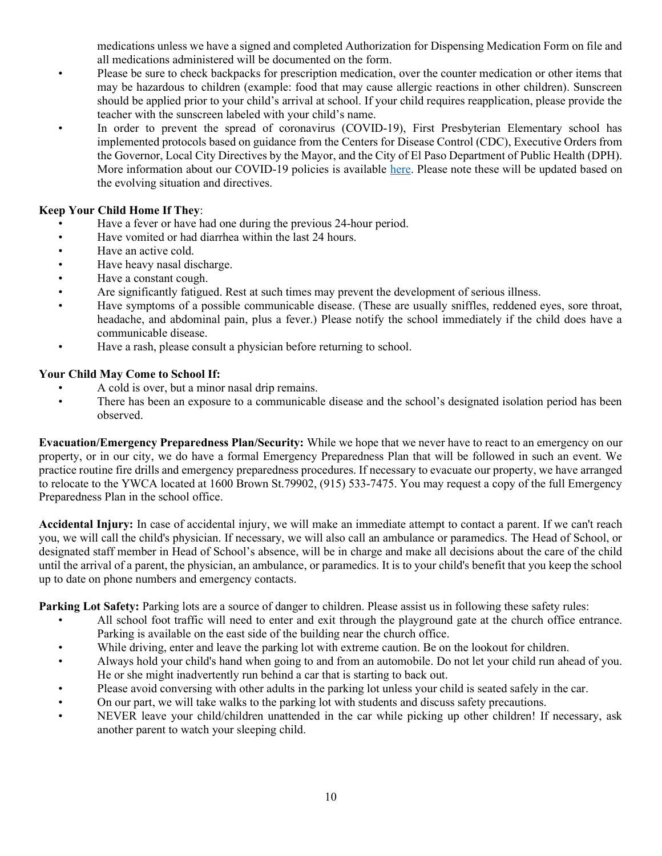medications unless we have a signed and completed Authorization for Dispensing Medication Form on file and all medications administered will be documented on the form.

- Please be sure to check backpacks for prescription medication, over the counter medication or other items that may be hazardous to children (example: food that may cause allergic reactions in other children). Sunscreen should be applied prior to your child's arrival at school. If your child requires reapplication, please provide the teacher with the sunscreen labeled with your child's name.
- In order to prevent the spread of coronavirus (COVID-19), First Presbyterian Elementary school has implemented protocols based on guidance from the Centers for Disease Control (CDC), Executive Orders from the Governor, Local City Directives by the Mayor, and the City of El Paso Department of Public Health (DPH). More information about our COVID-19 policies is available here. Please note these will be updated based on the evolving situation and directives.

#### Keep Your Child Home If They:

- Have a fever or have had one during the previous 24-hour period.
- Have vomited or had diarrhea within the last 24 hours.
- Have an active cold.
- Have heavy nasal discharge.
- Have a constant cough.
- Are significantly fatigued. Rest at such times may prevent the development of serious illness.
- Have symptoms of a possible communicable disease. (These are usually sniffles, reddened eyes, sore throat, headache, and abdominal pain, plus a fever.) Please notify the school immediately if the child does have a communicable disease.
- Have a rash, please consult a physician before returning to school.

#### Your Child May Come to School If:

- A cold is over, but a minor nasal drip remains.
- There has been an exposure to a communicable disease and the school's designated isolation period has been observed.

Evacuation/Emergency Preparedness Plan/Security: While we hope that we never have to react to an emergency on our property, or in our city, we do have a formal Emergency Preparedness Plan that will be followed in such an event. We practice routine fire drills and emergency preparedness procedures. If necessary to evacuate our property, we have arranged to relocate to the YWCA located at 1600 Brown St.79902, (915) 533-7475. You may request a copy of the full Emergency Preparedness Plan in the school office.

Accidental Injury: In case of accidental injury, we will make an immediate attempt to contact a parent. If we can't reach you, we will call the child's physician. If necessary, we will also call an ambulance or paramedics. The Head of School, or designated staff member in Head of School's absence, will be in charge and make all decisions about the care of the child until the arrival of a parent, the physician, an ambulance, or paramedics. It is to your child's benefit that you keep the school up to date on phone numbers and emergency contacts.

Parking Lot Safety: Parking lots are a source of danger to children. Please assist us in following these safety rules:

- All school foot traffic will need to enter and exit through the playground gate at the church office entrance. Parking is available on the east side of the building near the church office.
- While driving, enter and leave the parking lot with extreme caution. Be on the lookout for children.
- Always hold your child's hand when going to and from an automobile. Do not let your child run ahead of you. He or she might inadvertently run behind a car that is starting to back out.
- Please avoid conversing with other adults in the parking lot unless your child is seated safely in the car.
- On our part, we will take walks to the parking lot with students and discuss safety precautions.
- NEVER leave your child/children unattended in the car while picking up other children! If necessary, ask another parent to watch your sleeping child.